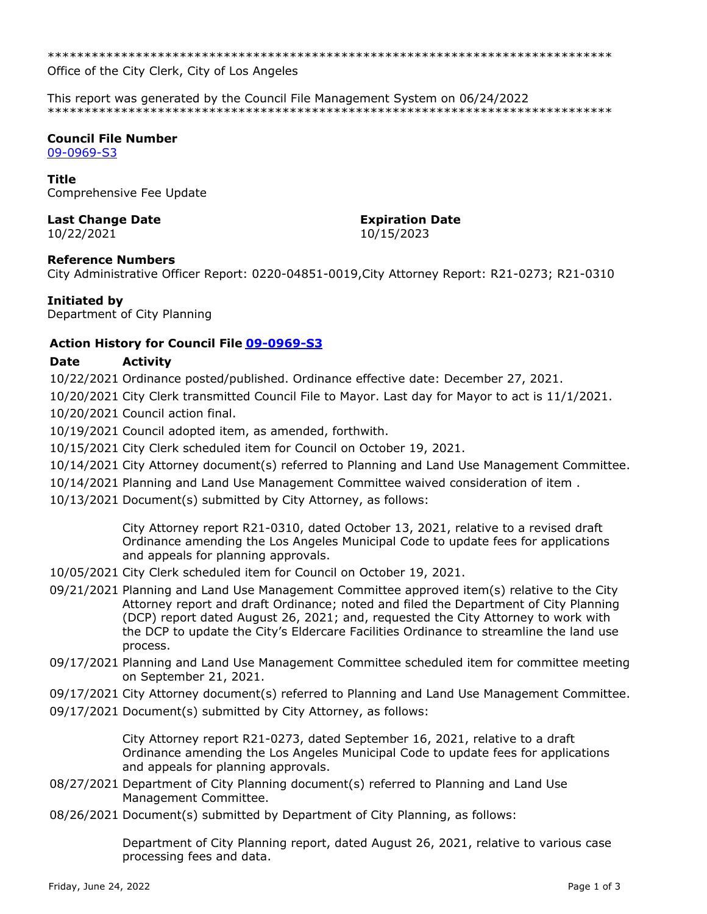\*\*\*\*\*\*\*\*\*\*\*\*\*\*\*\*\*\*\*\*\*\*\*\*\*\*\*\*\*\*\*\*\*\*\*\*\*\*\*\*\*\*\*\*\*\*\*\*\*\*\*\*\*\*\*\*\*\*\*\*\*\*\*\*\*\*\*\*\*\*\*\*\*\*\*\*\*

Office of the City Clerk, City of Los Angeles

This report was generated by the Council File Management System on 06/24/2022 \*\*\*\*\*\*\*\*\*\*\*\*\*\*\*\*\*\*\*\*\*\*\*\*\*\*\*\*\*\*\*\*\*\*\*\*\*\*\*\*\*\*\*\*\*\*\*\*\*\*\*\*\*\*\*\*\*\*\*\*\*\*\*\*\*\*\*\*\*\*\*\*\*\*\*\*\*

# **Council File Number**

[09-0969-S3](https://cityclerk.lacity.org/lacityclerkconnect/index.cfm?fa=ccfi.viewrecord&cfnumber=09-0969-S3)

#### **Title**

Comprehensive Fee Update

# **Last Change Date Expiration Date**

# 10/22/2021 10/15/2023

#### **Reference Numbers**

City Administrative Officer Report: 0220-04851-0019,City Attorney Report: R21-0273; R21-0310

# **Initiated by**

Department of City Planning

# **Action History for Council File [09-0969-S3](https://cityclerk.lacity.org/lacityclerkconnect/index.cfm?fa=ccfi.viewrecord&cfnumber=09-0969-S3)**

# **Date Activity**

10/22/2021 Ordinance posted/published. Ordinance effective date: December 27, 2021.

10/20/2021 City Clerk transmitted Council File to Mayor. Last day for Mayor to act is 11/1/2021.

10/20/2021 Council action final.

10/19/2021 Council adopted item, as amended, forthwith.

10/15/2021 City Clerk scheduled item for Council on October 19, 2021.

10/14/2021 City Attorney document(s) referred to Planning and Land Use Management Committee.

- 10/14/2021 Planning and Land Use Management Committee waived consideration of item .
- 10/13/2021 Document(s) submitted by City Attorney, as follows:

City Attorney report R21-0310, dated October 13, 2021, relative to a revised draft Ordinance amending the Los Angeles Municipal Code to update fees for applications and appeals for planning approvals.

- 10/05/2021 City Clerk scheduled item for Council on October 19, 2021.
- 09/21/2021 Planning and Land Use Management Committee approved item(s) relative to the City Attorney report and draft Ordinance; noted and filed the Department of City Planning (DCP) report dated August 26, 2021; and, requested the City Attorney to work with the DCP to update the City's Eldercare Facilities Ordinance to streamline the land use process.
- 09/17/2021 Planning and Land Use Management Committee scheduled item for committee meeting on September 21, 2021.
- 09/17/2021 City Attorney document(s) referred to Planning and Land Use Management Committee.
- 09/17/2021 Document(s) submitted by City Attorney, as follows:

City Attorney report R21-0273, dated September 16, 2021, relative to a draft Ordinance amending the Los Angeles Municipal Code to update fees for applications and appeals for planning approvals.

- 08/27/2021 Department of City Planning document(s) referred to Planning and Land Use Management Committee.
- 08/26/2021 Document(s) submitted by Department of City Planning, as follows:

Department of City Planning report, dated August 26, 2021, relative to various case processing fees and data.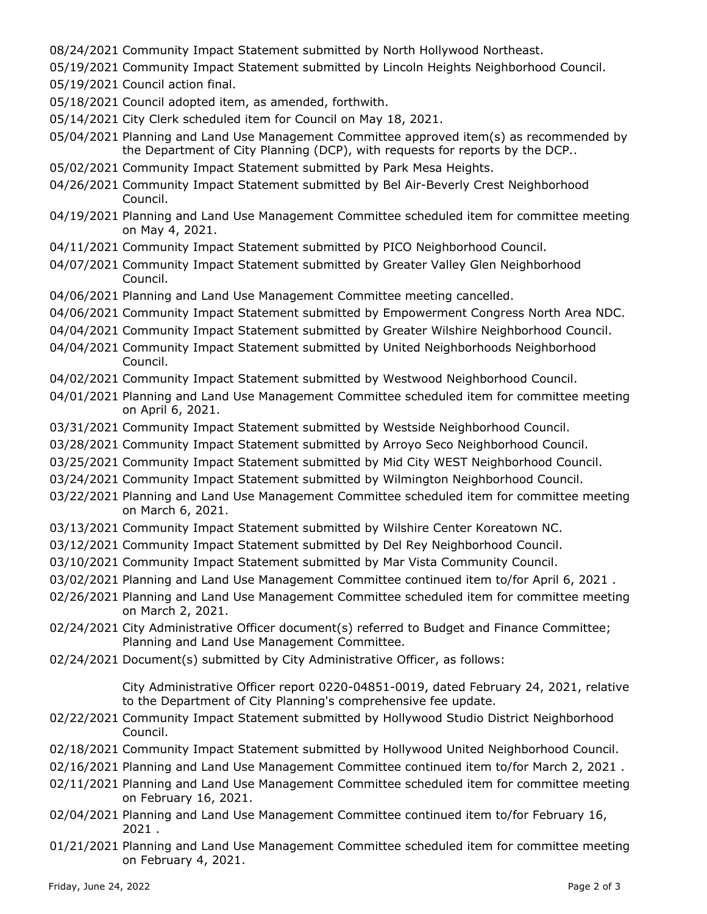- 08/24/2021 Community Impact Statement submitted by North Hollywood Northeast.
- 05/19/2021 Community Impact Statement submitted by Lincoln Heights Neighborhood Council.
- 05/19/2021 Council action final.
- 05/18/2021 Council adopted item, as amended, forthwith.
- 05/14/2021 City Clerk scheduled item for Council on May 18, 2021.
- 05/04/2021 Planning and Land Use Management Committee approved item(s) as recommended by the Department of City Planning (DCP), with requests for reports by the DCP..
- 05/02/2021 Community Impact Statement submitted by Park Mesa Heights.
- 04/26/2021 Community Impact Statement submitted by Bel Air-Beverly Crest Neighborhood Council.
- 04/19/2021 Planning and Land Use Management Committee scheduled item for committee meeting on May 4, 2021.
- 04/11/2021 Community Impact Statement submitted by PICO Neighborhood Council.
- 04/07/2021 Community Impact Statement submitted by Greater Valley Glen Neighborhood Council.
- 04/06/2021 Planning and Land Use Management Committee meeting cancelled.
- 04/06/2021 Community Impact Statement submitted by Empowerment Congress North Area NDC.
- 04/04/2021 Community Impact Statement submitted by Greater Wilshire Neighborhood Council.
- 04/04/2021 Community Impact Statement submitted by United Neighborhoods Neighborhood Council.
- 04/02/2021 Community Impact Statement submitted by Westwood Neighborhood Council.
- 04/01/2021 Planning and Land Use Management Committee scheduled item for committee meeting on April 6, 2021.
- 03/31/2021 Community Impact Statement submitted by Westside Neighborhood Council.
- 03/28/2021 Community Impact Statement submitted by Arroyo Seco Neighborhood Council.
- 03/25/2021 Community Impact Statement submitted by Mid City WEST Neighborhood Council.
- 03/24/2021 Community Impact Statement submitted by Wilmington Neighborhood Council.
- 03/22/2021 Planning and Land Use Management Committee scheduled item for committee meeting on March 6, 2021.
- 03/13/2021 Community Impact Statement submitted by Wilshire Center Koreatown NC.
- 03/12/2021 Community Impact Statement submitted by Del Rey Neighborhood Council.
- 03/10/2021 Community Impact Statement submitted by Mar Vista Community Council.
- 03/02/2021 Planning and Land Use Management Committee continued item to/for April 6, 2021 .
- 02/26/2021 Planning and Land Use Management Committee scheduled item for committee meeting on March 2, 2021.
- 02/24/2021 City Administrative Officer document(s) referred to Budget and Finance Committee; Planning and Land Use Management Committee.
- 02/24/2021 Document(s) submitted by City Administrative Officer, as follows:

City Administrative Officer report 0220-04851-0019, dated February 24, 2021, relative to the Department of City Planning's comprehensive fee update.

- 02/22/2021 Community Impact Statement submitted by Hollywood Studio District Neighborhood Council.
- 02/18/2021 Community Impact Statement submitted by Hollywood United Neighborhood Council.
- 02/16/2021 Planning and Land Use Management Committee continued item to/for March 2, 2021 .
- 02/11/2021 Planning and Land Use Management Committee scheduled item for committee meeting on February 16, 2021.
- 02/04/2021 Planning and Land Use Management Committee continued item to/for February 16, 2021 .
- 01/21/2021 Planning and Land Use Management Committee scheduled item for committee meeting on February 4, 2021.